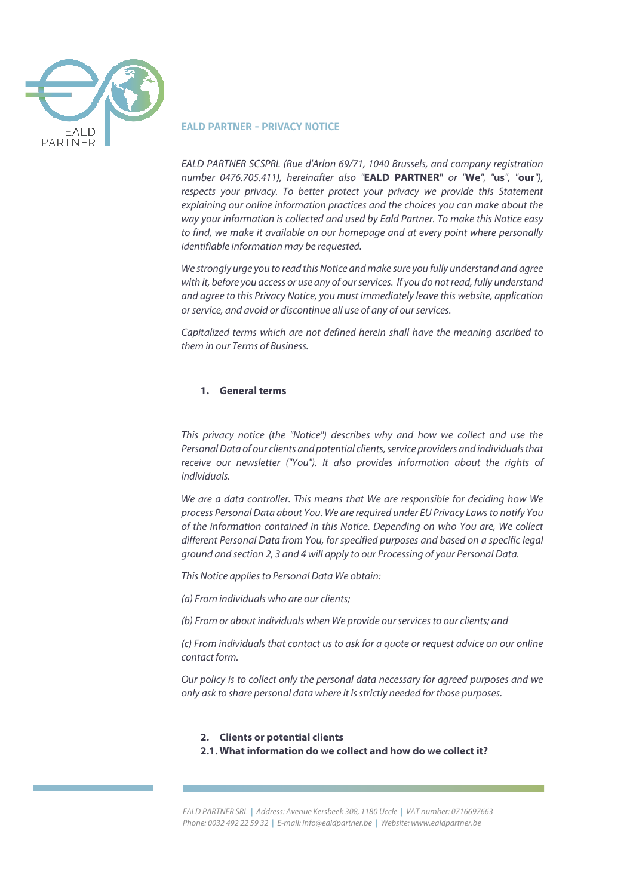

## **EALD PARTNER - PRIVACY NOTICE**

*EALD PARTNER SCSPRL (Rue d'Arlon 69/71, 1040 Brussels, and company registration number 0476.705.411), hereinafter also "***EALD PARTNER"** *or "***We***", "***us***", "***our***"),*  respects your privacy. To better protect your privacy we provide this Statement *explaining our online information practices and the choices you can make about the way your information is collected and used by Eald Partner. To make this Notice easy to find, we make it available on our homepage and at every point where personally identifiable information may be requested.* 

*We strongly urge you to read this Notice and make sure you fully understand and agree with it, before you access or use any of our services. If you do not read, fully understand and agree to this Privacy Notice, you must immediately leave this website, application or service, and avoid or discontinue all use of any of our services.* 

*Capitalized terms which are not defined herein shall have the meaning ascribed to them in our Terms of Business.*

## **1. General terms**

*This privacy notice (the "Notice") describes why and how we collect and use the Personal Data of our clients and potential clients, service providers and individuals that receive our newsletter ("You"). It also provides information about the rights of individuals.*

*We are a data controller. This means that We are responsible for deciding how We process Personal Data about You. We are required under EU Privacy Laws to notify You of the information contained in this Notice. Depending on who You are, We collect different Personal Data from You, for specified purposes and based on a specific legal ground and section 2, 3 and 4 will apply to our Processing of your Personal Data.* 

*This Notice applies to Personal Data We obtain:* 

*(a) From individuals who are our clients;* 

*(b) From or about individuals when We provide our services to our clients; and* 

*(c) From individuals that contact us to ask for a quote or request advice on our online contact form.* 

*Our policy is to collect only the personal data necessary for agreed purposes and we only ask to share personal data where it is strictly needed for those purposes.* 

### **2. Clients or potential clients**

**2.1. What information do we collect and how do we collect it?**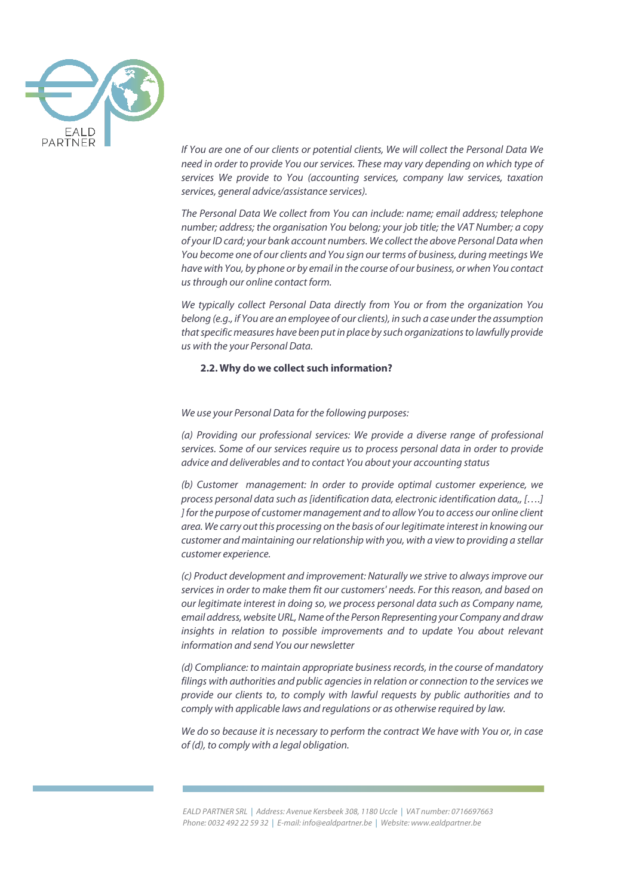

*If You are one of our clients or potential clients, We will collect the Personal Data We need in order to provide You our services. These may vary depending on which type of services We provide to You (accounting services, company law services, taxation services, general advice/assistance services).* 

*The Personal Data We collect from You can include: name; email address; telephone number; address; the organisation You belong; your job title; the VAT Number; a copy of your ID card; your bank account numbers. We collect the above Personal Data when You become one of our clients and You sign our terms of business, during meetings We have with You, by phone or by email in the course of our business, or when You contact us through our online contact form.* 

*We typically collect Personal Data directly from You or from the organization You belong (e.g., if You are an employee of our clients), in such a case under the assumption that specific measures have been put in place by such organizations to lawfully provide us with the your Personal Data.*

## **2.2. Why do we collect such information?**

*We use your Personal Data for the following purposes:*

*(a) Providing our professional services: We provide a diverse range of professional services. Some of our services require us to process personal data in order to provide advice and deliverables and to contact You about your accounting status*

*(b) Customer management: In order to provide optimal customer experience, we process personal data such as [identification data, electronic identification data,, [….] ] for the purpose of customer management and to allow You to access our online client area. We carry out this processing on the basis of our legitimate interest in knowing our customer and maintaining our relationship with you, with a view to providing a stellar customer experience.* 

*(c) Product development and improvement: Naturally we strive to always improve our services in order to make them fit our customers' needs. For this reason, and based on our legitimate interest in doing so, we process personal data such as Company name, email address, website URL, Name of the Person Representing your Company and draw*  insights in relation to possible improvements and to update You about relevant *information and send You our newsletter*

*(d) Compliance: to maintain appropriate business records, in the course of mandatory filings with authorities and public agencies in relation or connection to the services we provide our clients to, to comply with lawful requests by public authorities and to comply with applicable laws and regulations or as otherwise required by law.* 

*We do so because it is necessary to perform the contract We have with You or, in case of (d), to comply with a legal obligation.* 

*EALD PARTNER SRL* **|** *Address: Avenue Kersbeek 308, 1180 Uccle* **|** *VAT number: 0716697663 Phone: 0032 492 22 59 32* **|** *E-mail: info@ealdpartner.be* **|** *Website: www.ealdpartner.be*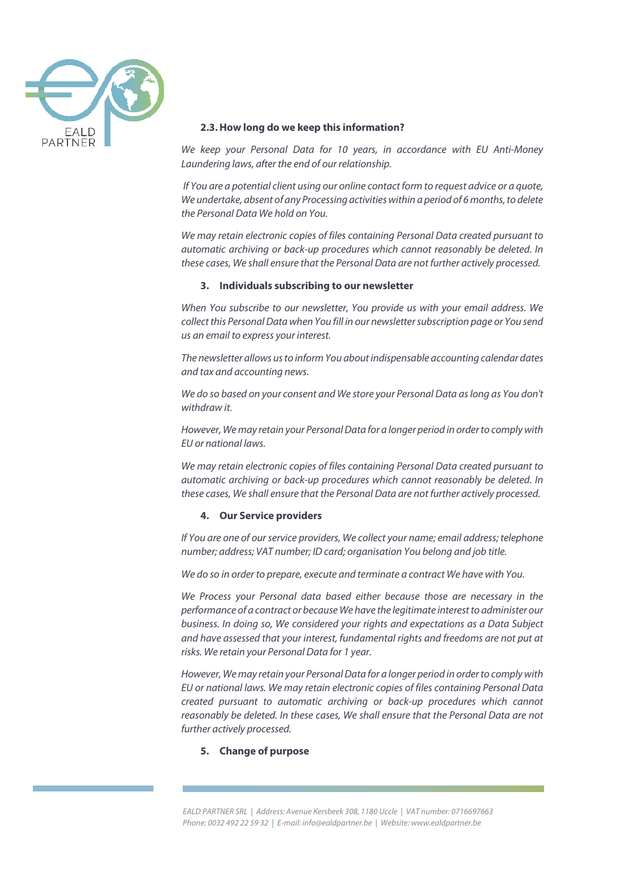

## **2.3.How long do we keep this information?**

*We keep your Personal Data for 10 years, in accordance with EU Anti-Money Laundering laws, after the end of our relationship.*

*If You are a potential client using our online contact form to request advice or a quote, We undertake, absent of any Processing activities within a period of 6 months, to delete the Personal Data We hold on You.* 

*We may retain electronic copies of files containing Personal Data created pursuant to automatic archiving or back-up procedures which cannot reasonably be deleted. In these cases, We shall ensure that the Personal Data are not further actively processed.* 

### **3. Individuals subscribing to our newsletter**

*When You subscribe to our newsletter, You provide us with your email address. We collect this Personal Data when You fill in our newsletter subscription page or You send us an email to express your interest.* 

*The newsletter allows us to inform You about indispensable accounting calendar dates and tax and accounting news.* 

*We do so based on your consent and We store your Personal Data as long as You don't withdraw it.* 

*However, We may retain your Personal Data for a longer period in order to comply with EU or national laws.* 

*We may retain electronic copies of files containing Personal Data created pursuant to automatic archiving or back-up procedures which cannot reasonably be deleted. In these cases, We shall ensure that the Personal Data are not further actively processed.* 

## **4. Our Service providers**

*If You are one of our service providers, We collect your name; email address; telephone number; address; VAT number; ID card; organisation You belong and job title.* 

*We do so in order to prepare, execute and terminate a contract We have with You.* 

*We Process your Personal data based either because those are necessary in the performance of a contract or because We have the legitimate interest to administer our business. In doing so, We considered your rights and expectations as a Data Subject and have assessed that your interest, fundamental rights and freedoms are not put at risks. We retain your Personal Data for 1 year.* 

*However, We may retain your Personal Data for a longer period in order to comply with EU or national laws. We may retain electronic copies of files containing Personal Data created pursuant to automatic archiving or back-up procedures which cannot reasonably be deleted. In these cases, We shall ensure that the Personal Data are not further actively processed.* 

## **5. Change of purpose**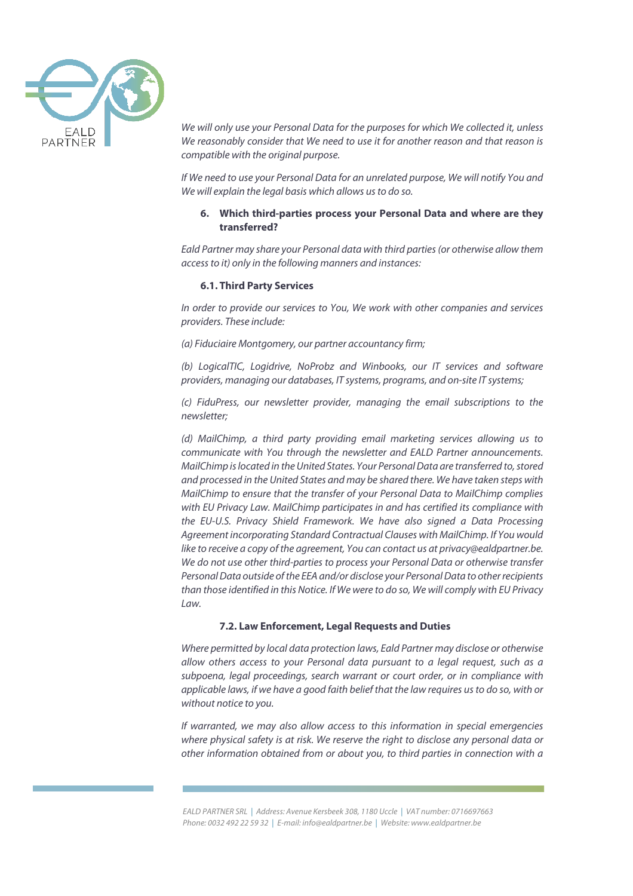

*We will only use your Personal Data for the purposes for which We collected it, unless We reasonably consider that We need to use it for another reason and that reason is compatible with the original purpose.* 

*If We need to use your Personal Data for an unrelated purpose, We will notify You and We will explain the legal basis which allows us to do so.* 

# **6. Which third-parties process your Personal Data and where are they transferred?**

*Eald Partner may share your Personal data with third parties (or otherwise allow them access to it) only in the following manners and instances:*

## **6.1. Third Party Services**

*In order to provide our services to You, We work with other companies and services providers. These include:* 

*(a) Fiduciaire Montgomery, our partner accountancy firm;* 

*(b) LogicalTIC, Logidrive, NoProbz and Winbooks, our IT services and software providers, managing our databases, IT systems, programs, and on-site IT systems;* 

*(c) FiduPress, our newsletter provider, managing the email subscriptions to the newsletter;* 

*(d) MailChimp, a third party providing email marketing services allowing us to communicate with You through the newsletter and EALD Partner announcements. MailChimp is located in the United States. Your Personal Data are transferred to, stored and processed in the United States and may be shared there. We have taken steps with MailChimp to ensure that the transfer of your Personal Data to MailChimp complies with EU Privacy Law. MailChimp participates in and has certified its compliance with the EU-U.S. Privacy Shield Framework. We have also signed a Data Processing Agreement incorporating Standard Contractual Clauses with MailChimp. If You would like to receive a copy of the agreement, You can contact us at privacy@ealdpartner.be. We do not use other third-parties to process your Personal Data or otherwise transfer Personal Data outside of the EEA and/or disclose your Personal Data to other recipients than those identified in this Notice. If We were to do so, We will comply with EU Privacy Law.* 

# **7.2. Law Enforcement, Legal Requests and Duties**

*Where permitted by local data protection laws, Eald Partner may disclose or otherwise allow others access to your Personal data pursuant to a legal request, such as a subpoena, legal proceedings, search warrant or court order, or in compliance with applicable laws, if we have a good faith belief that the law requires us to do so, with or without notice to you.*

*If warranted, we may also allow access to this information in special emergencies where physical safety is at risk. We reserve the right to disclose any personal data or other information obtained from or about you, to third parties in connection with a* 

*EALD PARTNER SRL* **|** *Address: Avenue Kersbeek 308, 1180 Uccle* **|** *VAT number: 0716697663 Phone: 0032 492 22 59 32* **|** *E-mail: info@ealdpartner.be* **|** *Website: www.ealdpartner.be*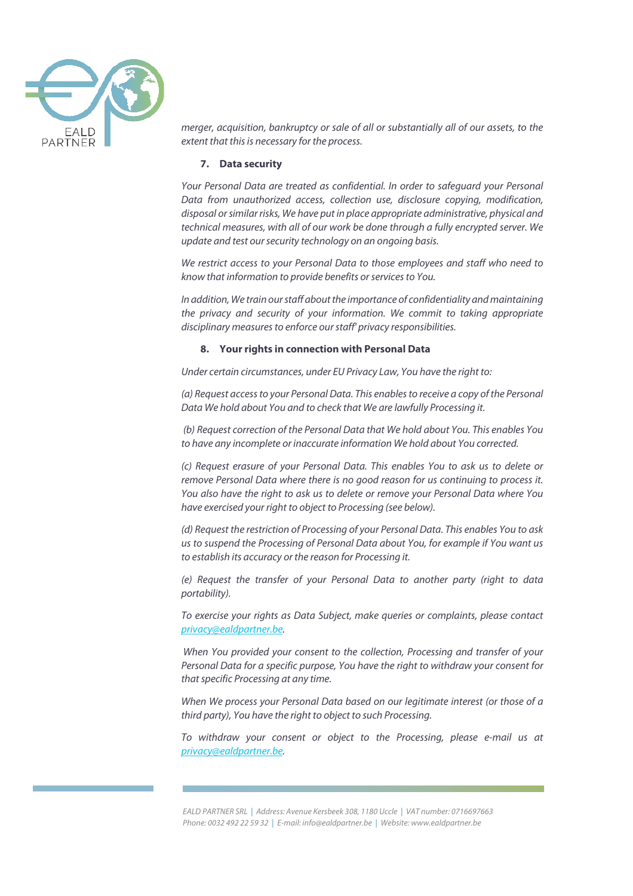

*merger, acquisition, bankruptcy or sale of all or substantially all of our assets, to the extent that this is necessary for the process.* 

#### **7. Data security**

*Your Personal Data are treated as confidential. In order to safeguard your Personal Data from unauthorized access, collection use, disclosure copying, modification, disposal or similar risks, We have put in place appropriate administrative, physical and technical measures, with all of our work be done through a fully encrypted server. We update and test our security technology on an ongoing basis.* 

*We restrict access to your Personal Data to those employees and staff who need to know that information to provide benefits or services to You.* 

*In addition, We train our staff about the importance of confidentiality and maintaining the privacy and security of your information. We commit to taking appropriate disciplinary measures to enforce our staff' privacy responsibilities.* 

#### **8. Your rights in connection with Personal Data**

*Under certain circumstances, under EU Privacy Law, You have the right to:* 

*(a) Request access to your Personal Data. This enables to receive a copy of the Personal Data We hold about You and to check that We are lawfully Processing it.* 

*(b) Request correction of the Personal Data that We hold about You. This enables You to have any incomplete or inaccurate information We hold about You corrected.* 

*(c) Request erasure of your Personal Data. This enables You to ask us to delete or remove Personal Data where there is no good reason for us continuing to process it. You also have the right to ask us to delete or remove your Personal Data where You have exercised your right to object to Processing (see below).* 

*(d) Request the restriction of Processing of your Personal Data. This enables You to ask us to suspend the Processing of Personal Data about You, for example if You want us to establish its accuracy or the reason for Processing it.* 

*(e) Request the transfer of your Personal Data to another party (right to data portability).* 

*To exercise your rights as Data Subject, make queries or complaints, please contact privacy@ealdpartner.be.*

*When You provided your consent to the collection, Processing and transfer of your Personal Data for a specific purpose, You have the right to withdraw your consent for that specific Processing at any time.* 

*When We process your Personal Data based on our legitimate interest (or those of a third party), You have the right to object to such Processing.* 

*To withdraw your consent or object to the Processing, please e-mail us at privacy@ealdpartner.be.* 

*EALD PARTNER SRL* **|** *Address: Avenue Kersbeek 308, 1180 Uccle* **|** *VAT number: 0716697663 Phone: 0032 492 22 59 32* **|** *E-mail: info@ealdpartner.be* **|** *Website: www.ealdpartner.be*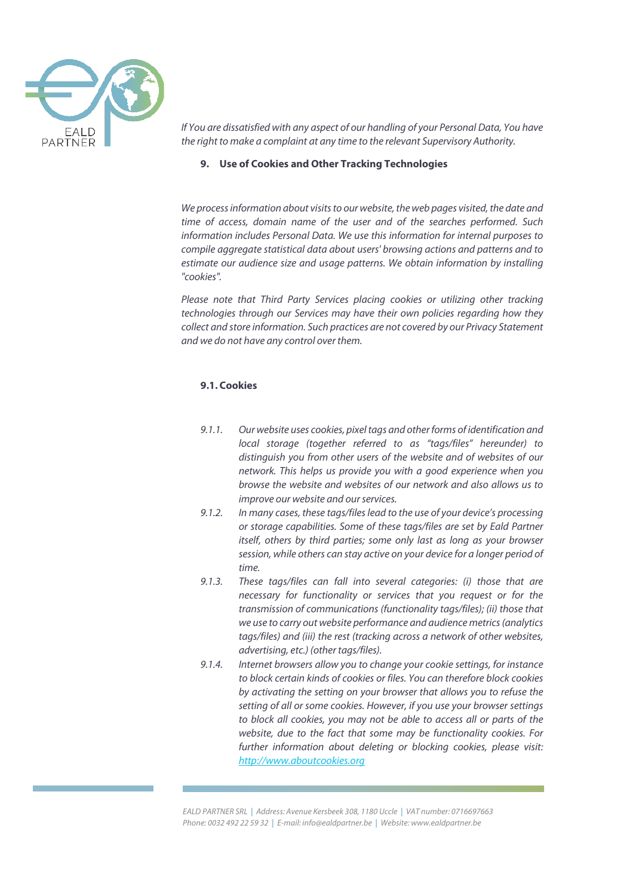

*If You are dissatisfied with any aspect of our handling of your Personal Data, You have the right to make a complaint at any time to the relevant Supervisory Authority.* 

#### **9. Use of Cookies and Other Tracking Technologies**

*We process information about visits to our website, the web pages visited, the date and time of access, domain name of the user and of the searches performed. Such information includes Personal Data. We use this information for internal purposes to compile aggregate statistical data about users' browsing actions and patterns and to estimate our audience size and usage patterns. We obtain information by installing "cookies".* 

*Please note that Third Party Services placing cookies or utilizing other tracking technologies through our Services may have their own policies regarding how they collect and store information. Such practices are not covered by our Privacy Statement and we do not have any control over them.* 

## **9.1. Cookies**

- *9.1.1. Our website uses cookies, pixel tags and other forms of identification and local storage (together referred to as "tags/files" hereunder) to distinguish you from other users of the website and of websites of our network. This helps us provide you with a good experience when you browse the website and websites of our network and also allows us to improve our website and our services.*
- *9.1.2. In many cases, these tags/files lead to the use of your device's processing or storage capabilities. Some of these tags/files are set by Eald Partner itself, others by third parties; some only last as long as your browser session, while others can stay active on your device for a longer period of time.*
- *9.1.3. These tags/files can fall into several categories: (i) those that are necessary for functionality or services that you request or for the transmission of communications (functionality tags/files); (ii) those that we use to carry out website performance and audience metrics (analytics tags/files) and (iii) the rest (tracking across a network of other websites, advertising, etc.) (other tags/files).*
- *9.1.4. Internet browsers allow you to change your cookie settings, for instance to block certain kinds of cookies or files. You can therefore block cookies by activating the setting on your browser that allows you to refuse the setting of all or some cookies. However, if you use your browser settings to block all cookies, you may not be able to access all or parts of the website, due to the fact that some may be functionality cookies. For further information about deleting or blocking cookies, please visit: http://www.aboutcookies.org*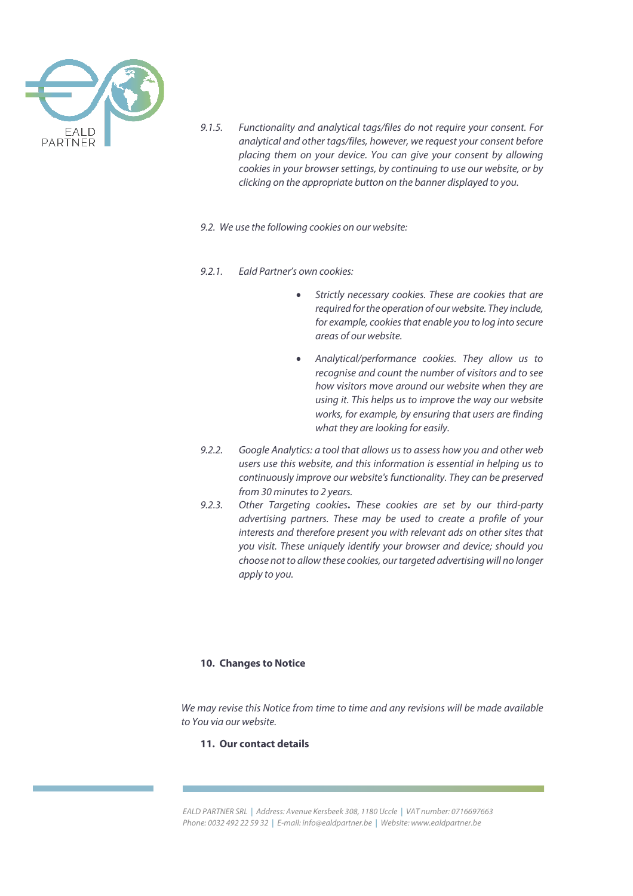

- *9.1.5. Functionality and analytical tags/files do not require your consent. For analytical and other tags/files, however, we request your consent before placing them on your device. You can give your consent by allowing cookies in your browser settings, by continuing to use our website, or by clicking on the appropriate button on the banner displayed to you.*
- *9.2. We use the following cookies on our website:*
- *9.2.1. Eald Partner's own cookies:* 
	- *Strictly necessary cookies. These are cookies that are required for the operation of our website. They include, for example, cookies that enable you to log into secure areas of our website.*
	- *Analytical/performance cookies. They allow us to recognise and count the number of visitors and to see how visitors move around our website when they are using it. This helps us to improve the way our website works, for example, by ensuring that users are finding what they are looking for easily.*
- *9.2.2. Google Analytics: a tool that allows us to assess how you and other web users use this website, and this information is essential in helping us to continuously improve our website's functionality. They can be preserved from 30 minutes to 2 years.*
- *9.2.3. Other Targeting cookies***.** *These cookies are set by our third-party advertising partners. These may be used to create a profile of your interests and therefore present you with relevant ads on other sites that you visit. These uniquely identify your browser and device; should you choose not to allow these cookies, our targeted advertising will no longer apply to you.*

# **10. Changes to Notice**

*We may revise this Notice from time to time and any revisions will be made available to You via our website.* 

**11. Our contact details**